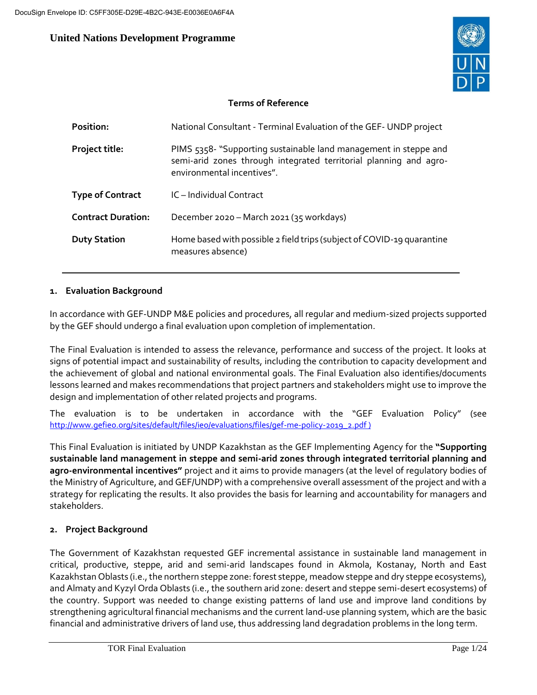# **United Nations Development Programme**



# **Terms of Reference**

| Position:                 | National Consultant - Terminal Evaluation of the GEF-UNDP project                                                                                                   |
|---------------------------|---------------------------------------------------------------------------------------------------------------------------------------------------------------------|
| <b>Project title:</b>     | PIMS 5358- "Supporting sustainable land management in steppe and<br>semi-arid zones through integrated territorial planning and agro-<br>environmental incentives". |
| <b>Type of Contract</b>   | IC-Individual Contract                                                                                                                                              |
| <b>Contract Duration:</b> | December 2020 - March 2021 (35 workdays)                                                                                                                            |
| <b>Duty Station</b>       | Home based with possible 2 field trips (subject of COVID-19 quarantine<br>measures absence)                                                                         |

# **1. Evaluation Background**

In accordance with GEF-UNDP M&E policies and procedures, all regular and medium-sized projects supported by the GEF should undergo a final evaluation upon completion of implementation.

The Final Evaluation is intended to assess the relevance, performance and success of the project. It looks at signs of potential impact and sustainability of results, including the contribution to capacity development and the achievement of global and national environmental goals. The Final Evaluation also identifies/documents lessons learned and makes recommendations that project partners and stakeholders might use to improve the design and implementation of other related projects and programs.

The evaluation is to be undertaken in accordance with the "GEF Evaluation Policy" (see http://www.gefieo.org/sites/default/files/ieo/evaluations/files/gef-me-policy-2019\_2.pdf )

This Final Evaluation is initiated by UNDP Kazakhstan as the GEF Implementing Agency for the **"Supporting sustainable land management in steppe and semi-arid zones through integrated territorial planning and agro-environmental incentives"** project and it aims to provide managers (at the level of regulatory bodies of the Ministry of Agriculture, and GEF/UNDP) with a comprehensive overall assessment of the project and with a strategy for replicating the results. It also provides the basis for learning and accountability for managers and stakeholders.

# **2. Project Background**

The Government of Kazakhstan requested GEF incremental assistance in sustainable land management in critical, productive, steppe, arid and semi-arid landscapes found in Akmola, Kostanay, North and East Kazakhstan Oblasts (i.e., the northern steppe zone: forest steppe, meadow steppe and dry steppe ecosystems), and Almaty and Kyzyl Orda Oblasts (i.e., the southern arid zone: desert and steppe semi-desert ecosystems) of the country. Support was needed to change existing patterns of land use and improve land conditions by strengthening agricultural financial mechanisms and the current land-use planning system, which are the basic financial and administrative drivers of land use, thus addressing land degradation problems in the long term.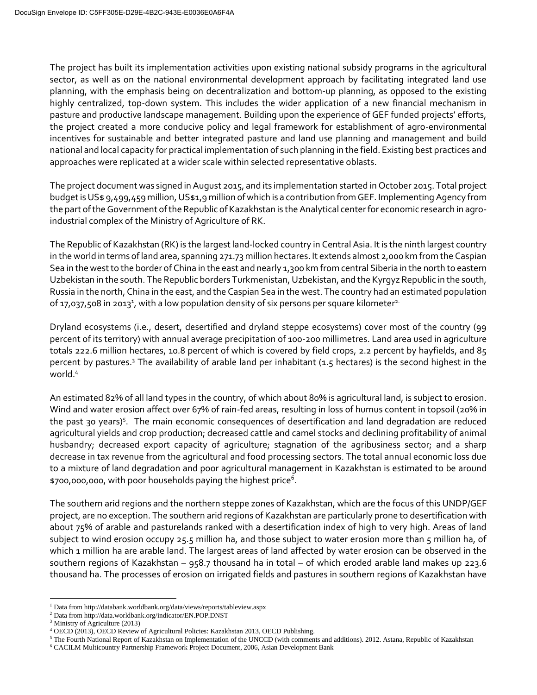The project has built its implementation activities upon existing national subsidy programs in the agricultural sector, as well as on the national environmental development approach by facilitating integrated land use planning, with the emphasis being on decentralization and bottom-up planning, as opposed to the existing highly centralized, top-down system. This includes the wider application of a new financial mechanism in pasture and productive landscape management. Building upon the experience of GEF funded projects' efforts, the project created a more conducive policy and legal framework for establishment of agro-environmental incentives for sustainable and better integrated pasture and land use planning and management and build national and local capacity for practical implementation of such planning in the field. Existing best practices and approaches were replicated at a wider scale within selected representative oblasts.

The project document was signed in August 2015, and its implementation started in October 2015. Total project budget is US\$ 9,499,459 million, US\$1,9 million of which is a contribution from GEF. Implementing Agency from the part of the Government of the Republic of Kazakhstan is the Analytical center for economic research in agroindustrial complex of the Ministry of Agriculture of RK.

The Republic of Kazakhstan (RK) is the largest land-locked country in Central Asia. It is the ninth largest country in the world in terms of land area, spanning 271.73 million hectares. It extends almost 2,000 km from the Caspian Sea in the west to the border of China in the east and nearly 1,300 km from central Siberia in the north to eastern Uzbekistan in the south. The Republic borders Turkmenistan, Uzbekistan, and the Kyrgyz Republic in the south, Russia in the north, China in the east, and the Caspian Sea in the west. The country had an estimated population of 17,037,508 in 2013<sup>1</sup>, with a low population density of six persons per square kilometer<sup>2.</sup>

Dryland ecosystems (i.e., desert, desertified and dryland steppe ecosystems) cover most of the country (99 percent of its territory) with annual average precipitation of 100-200 millimetres. Land area used in agriculture totals 222.6 million hectares, 10.8 percent of which is covered by field crops, 2.2 percent by hayfields, and 85 percent by pastures.<sup>3</sup> The availability of arable land per inhabitant  $(1.5$  hectares) is the second highest in the world.<sup>4</sup>

An estimated 82% of all land types in the country, of which about 80% is agricultural land, is subject to erosion. Wind and water erosion affect over 67% of rain-fed areas, resulting in loss of humus content in topsoil (20% in the past 30 years)<sup>5</sup>. The main economic consequences of desertification and land degradation are reduced agricultural yields and crop production; decreased cattle and camel stocks and declining profitability of animal husbandry; decreased export capacity of agriculture; stagnation of the agribusiness sector; and a sharp decrease in tax revenue from the agricultural and food processing sectors. The total annual economic loss due to a mixture of land degradation and poor agricultural management in Kazakhstan is estimated to be around \$700,000,000, with poor households paying the highest price<sup>6</sup>.

The southern arid regions and the northern steppe zones of Kazakhstan, which are the focus of this UNDP/GEF project, are no exception. The southern arid regions of Kazakhstan are particularly prone to desertification with about 75% of arable and pasturelands ranked with a desertification index of high to very high. Areas of land subject to wind erosion occupy 25.5 million ha, and those subject to water erosion more than 5 million ha, of which 1 million ha are arable land. The largest areas of land affected by water erosion can be observed in the southern regions of Kazakhstan – 958.7 thousand ha in total – of which eroded arable land makes up 223.6 thousand ha. The processes of erosion on irrigated fields and pastures in southern regions of Kazakhstan have

 $\overline{a}$ 

<sup>1</sup> Data from http://databank.worldbank.org/data/views/reports/tableview.aspx

<sup>2</sup> Data from http://data.worldbank.org/indicator/EN.POP.DNST

<sup>3</sup> Ministry of Agriculture (2013)

<sup>4</sup> OECD (2013), OECD Review of Agricultural Policies: Kazakhstan 2013, OECD Publishing.

 $<sup>5</sup>$  The Fourth National Report of Kazakhstan on Implementation of the UNCCD (with comments and additions). 2012. Astana, Republic of Kazakhstan</sup>

<sup>6</sup> CACILM Multicountry Partnership Framework Project Document, 2006, Asian Development Bank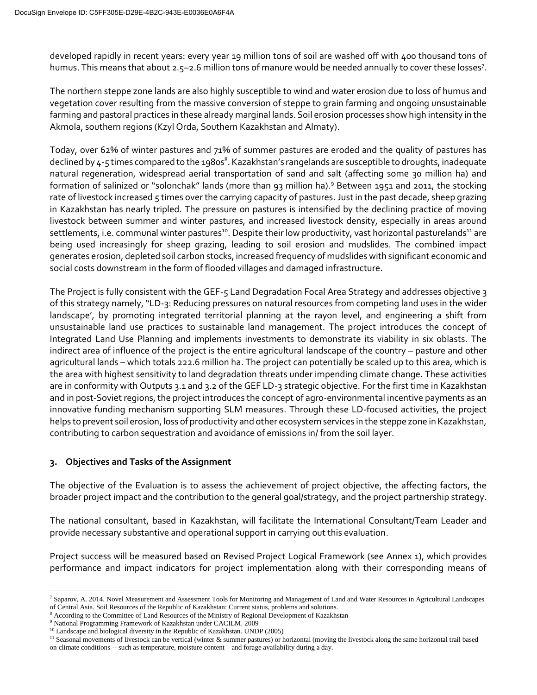developed rapidly in recent years: every year 19 million tons of soil are washed off with 400 thousand tons of humus. This means that about 2.5-2.6 million tons of manure would be needed annually to cover these losses<sup>7</sup>.

The northern steppe zone lands are also highly susceptible to wind and water erosion due to loss of humus and vegetation cover resulting from the massive conversion of steppe to grain farming and ongoing unsustainable farming and pastoral practices in these already marginal lands. Soil erosion processes show high intensity in the Akmola, southern regions (Kzyl Orda, Southern Kazakhstan and Almaty).

Today, over 62% of winter pastures and 71% of summer pastures are eroded and the quality of pastures has declined by 4-5 times compared to the 1980s<sup>8</sup>. Kazakhstan's rangelands are susceptible to droughts, inadequate natural regeneration, widespread aerial transportation of sand and salt (affecting some 30 million ha) and formation of salinized or "solonchak" lands (more than 93 million ha).<sup>9</sup> Between 1951 and 2011, the stocking rate of livestock increased 5 times over the carrying capacity of pastures. Just in the past decade, sheep grazing in Kazakhstan has nearly tripled. The pressure on pastures is intensified by the declining practice of moving livestock between summer and winter pastures, and increased livestock density, especially in areas around settlements, i.e. communal winter pastures<sup>10</sup>. Despite their low productivity, vast horizontal pasturelands<sup>11</sup> are being used increasingly for sheep grazing, leading to soil erosion and mudslides. The combined impact generates erosion, depleted soil carbon stocks, increased frequency of mudslides with significant economic and social costs downstream in the form of flooded villages and damaged infrastructure.

The Project is fully consistent with the GEF-5 Land Degradation Focal Area Strategy and addresses objective 3 of this strategy namely, "LD-3: Reducing pressures on natural resources from competing land uses in the wider landscape', by promoting integrated territorial planning at the rayon level, and engineering a shift from unsustainable land use practices to sustainable land management. The project introduces the concept of Integrated Land Use Planning and implements investments to demonstrate its viability in six oblasts. The indirect area of influence of the project is the entire agricultural landscape of the country – pasture and other agricultural lands – which totals 222.6 million ha. The project can potentially be scaled up to this area, which is the area with highest sensitivity to land degradation threats under impending climate change. These activities are in conformity with Outputs 3.1 and 3.2 of the GEF LD-3 strategic objective. For the first time in Kazakhstan and in post-Soviet regions, the project introduces the concept of agro-environmental incentive payments as an innovative funding mechanism supporting SLM measures. Through these LD-focused activities, the project helps to prevent soil erosion, loss of productivity and other ecosystem services in the steppe zone in Kazakhstan, contributing to carbon sequestration and avoidance of emissions in/ from the soil layer.

# **3. Objectives and Tasks of the Assignment**

The objective of the Evaluation is to assess the achievement of project objective, the affecting factors, the broader project impact and the contribution to the general goal/strategy, and the project partnership strategy.

The national consultant, based in Kazakhstan, will facilitate the International Consultant/Team Leader and provide necessary substantive and operational support in carrying out this evaluation.

Project success will be measured based on Revised Project Logical Framework (see Annex 1), which provides performance and impact indicators for project implementation along with their corresponding means of

 $\overline{a}$ 

<sup>7</sup> Saparov, A. 2014. Novel Measurement and Assessment Tools for Monitoring and Management of Land and Water Resources in Agricultural Landscapes of Central Asia. Soil Resources of the Republic of Kazakhstan: Current status, problems and solutions.

<sup>&</sup>lt;sup>8</sup> According to the Committee of Land Resources of the Ministry of Regional Development of Kazakhstan

<sup>9</sup> National Programming Framework of Kazakhstan under CACILM. 2009

<sup>&</sup>lt;sup>10</sup> Landscape and biological diversity in the Republic of Kazakhstan. UNDP (2005)

<sup>&</sup>lt;sup>11</sup> Seasonal movements of livestock can be vertical (winter & summer pastures) or horizontal (moving the livestock along the same horizontal trail based on climate conditions -- such as temperature, moisture content – and forage availability during a day.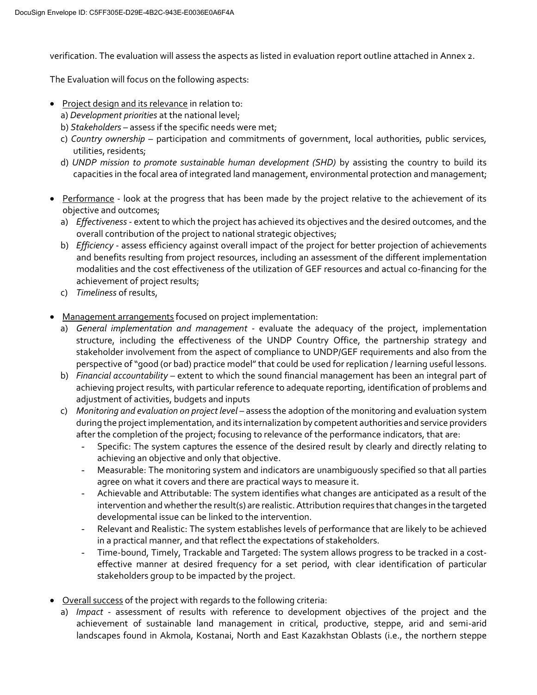verification. The evaluation will assess the aspects as listed in evaluation report outline attached in Annex 2.

The Evaluation will focus on the following aspects:

- **•** Project design and its relevance in relation to:
	- a) *Development priorities* at the national level;
	- b) *Stakeholders –* assess if the specific needs were met;
	- c) *Country ownership* participation and commitments of government, local authorities, public services, utilities, residents;
	- d) *UNDP mission to promote sustainable human development (SHD)* by assisting the country to build its capacities in the focal area of integrated land management, environmental protection and management;
- Performance look at the progress that has been made by the project relative to the achievement of its objective and outcomes;
	- a) *Effectiveness* extent to which the project has achieved its objectives and the desired outcomes, and the overall contribution of the project to national strategic objectives;
	- b) *Efficiency* assess efficiency against overall impact of the project for better projection of achievements and benefits resulting from project resources, including an assessment of the different implementation modalities and the cost effectiveness of the utilization of GEF resources and actual co-financing for the achievement of project results;
	- c) *Timeliness* of results,
- Management arrangements focused on project implementation:
	- a) *General implementation and management* evaluate the adequacy of the project, implementation structure, including the effectiveness of the UNDP Country Office, the partnership strategy and stakeholder involvement from the aspect of compliance to UNDP/GEF requirements and also from the perspective of "good (or bad) practice model" that could be used for replication / learning useful lessons.
	- b) *Financial accountability* extent to which the sound financial management has been an integral part of achieving project results, with particular reference to adequate reporting, identification of problems and adjustment of activities, budgets and inputs
	- c) *Monitoring and evaluation on project level*  assess the adoption of the monitoring and evaluation system during the project implementation, and its internalization by competent authorities and service providers after the completion of the project; focusing to relevance of the performance indicators, that are:
		- Specific: The system captures the essence of the desired result by clearly and directly relating to achieving an objective and only that objective.
		- Measurable: The monitoring system and indicators are unambiguously specified so that all parties agree on what it covers and there are practical ways to measure it.
		- Achievable and Attributable: The system identifies what changes are anticipated as a result of the intervention and whether the result(s) are realistic. Attribution requires that changes in the targeted developmental issue can be linked to the intervention.
		- Relevant and Realistic: The system establishes levels of performance that are likely to be achieved in a practical manner, and that reflect the expectations of stakeholders.
		- Time-bound, Timely, Trackable and Targeted: The system allows progress to be tracked in a costeffective manner at desired frequency for a set period, with clear identification of particular stakeholders group to be impacted by the project.
- Overall success of the project with regards to the following criteria:
	- a) *Impact* assessment of results with reference to development objectives of the project and the achievement of sustainable land management in critical, productive, steppe, arid and semi-arid landscapes found in Akmola, Kostanai, North and East Kazakhstan Oblasts (i.e., the northern steppe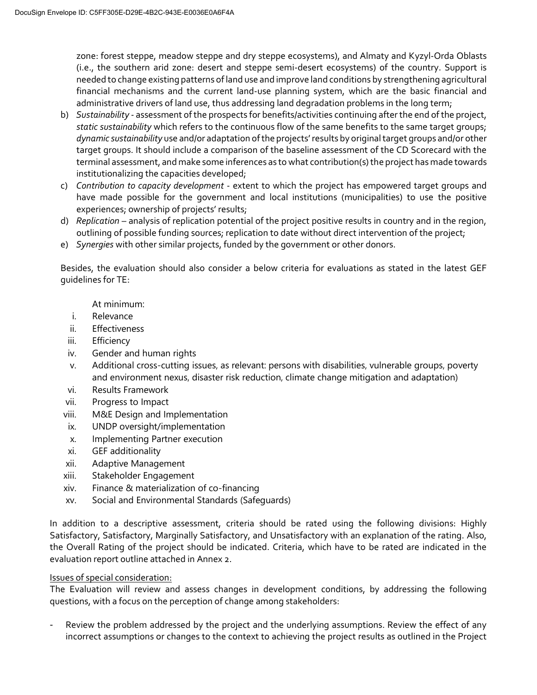zone: forest steppe, meadow steppe and dry steppe ecosystems), and Almaty and Kyzyl-Orda Oblasts (i.e., the southern arid zone: desert and steppe semi-desert ecosystems) of the country. Support is needed to change existing patterns of land use and improve land conditions by strengthening agricultural financial mechanisms and the current land-use planning system, which are the basic financial and administrative drivers of land use, thus addressing land degradation problems in the long term;

- b) *Sustainability* assessment of the prospects for benefits/activities continuing after the end of the project, *static sustainability* which refers to the continuous flow of the same benefits to the same target groups; *dynamic sustainability* use and/or adaptation of the projects' results by original target groups and/or other target groups. It should include a comparison of the baseline assessment of the CD Scorecard with the terminal assessment, and make some inferences as to what contribution(s) the project has made towards institutionalizing the capacities developed;
- c) *Contribution to capacity development* extent to which the project has empowered target groups and have made possible for the government and local institutions (municipalities) to use the positive experiences; ownership of projects' results;
- d) *Replication* analysis of replication potential of the project positive results in country and in the region, outlining of possible funding sources; replication to date without direct intervention of the project;
- e) *Synergies* with other similar projects, funded by the government or other donors.

Besides, the evaluation should also consider a below criteria for evaluations as stated in the latest GEF guidelines for TE:

At minimum:

- i. Relevance
- ii. Effectiveness
- iii. Efficiency
- iv. Gender and human rights
- v. Additional cross-cutting issues, as relevant: persons with disabilities, vulnerable groups, poverty and environment nexus, disaster risk reduction, climate change mitigation and adaptation)
- vi. Results Framework
- vii. Progress to Impact
- viii. M&E Design and Implementation
- ix. UNDP oversight/implementation
- x. Implementing Partner execution
- xi. GEF additionality
- xii. Adaptive Management
- xiii. Stakeholder Engagement
- xiv. Finance & materialization of co-financing
- xv. Social and Environmental Standards (Safeguards)

In addition to a descriptive assessment, criteria should be rated using the following divisions: Highly Satisfactory, Satisfactory, Marginally Satisfactory, and Unsatisfactory with an explanation of the rating. Also, the Overall Rating of the project should be indicated. Criteria, which have to be rated are indicated in the evaluation report outline attached in Annex 2.

#### Issues of special consideration:

The Evaluation will review and assess changes in development conditions, by addressing the following questions, with a focus on the perception of change among stakeholders:

Review the problem addressed by the project and the underlying assumptions. Review the effect of any incorrect assumptions or changes to the context to achieving the project results as outlined in the Project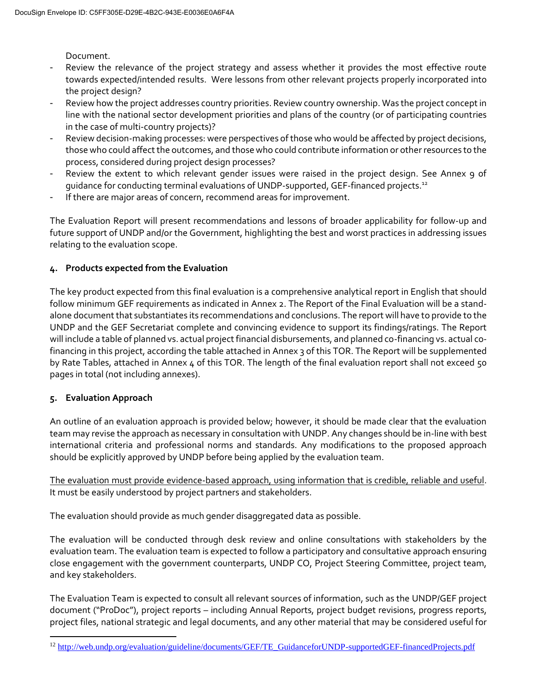Document.

- Review the relevance of the project strategy and assess whether it provides the most effective route towards expected/intended results. Were lessons from other relevant projects properly incorporated into the project design?
- Review how the project addresses country priorities. Review country ownership. Was the project concept in line with the national sector development priorities and plans of the country (or of participating countries in the case of multi-country projects)?
- Review decision-making processes: were perspectives of those who would be affected by project decisions, those who could affect the outcomes, and those who could contribute information or other resources to the process, considered during project design processes?
- Review the extent to which relevant gender issues were raised in the project design. See Annex 9 of guidance for conducting terminal evaluations of UNDP-supported, GEF-financed projects.<sup>12</sup>
- If there are major areas of concern, recommend areas for improvement.

The Evaluation Report will present recommendations and lessons of broader applicability for follow-up and future support of UNDP and/or the Government, highlighting the best and worst practices in addressing issues relating to the evaluation scope.

# **4. Products expected from the Evaluation**

The key product expected from this final evaluation is a comprehensive analytical report in English that should follow minimum GEF requirements as indicated in Annex 2. The Report of the Final Evaluation will be a standalone document that substantiates its recommendations and conclusions. The report will have to provide to the UNDP and the GEF Secretariat complete and convincing evidence to support its findings/ratings. The Report will include a table of planned vs. actual project financial disbursements, and planned co-financing vs. actual cofinancing in this project, according the table attached in Annex 3 of this TOR. The Report will be supplemented by Rate Tables, attached in Annex 4 of this TOR. The length of the final evaluation report shall not exceed 50 pages in total (not including annexes).

# **5. Evaluation Approach**

 $\overline{a}$ 

An outline of an evaluation approach is provided below; however, it should be made clear that the evaluation team may revise the approach as necessary in consultation with UNDP. Any changes should be in-line with best international criteria and professional norms and standards. Any modifications to the proposed approach should be explicitly approved by UNDP before being applied by the evaluation team.

The evaluation must provide evidence-based approach, using information that is credible, reliable and useful. It must be easily understood by project partners and stakeholders.

The evaluation should provide as much gender disaggregated data as possible.

The evaluation will be conducted through desk review and online consultations with stakeholders by the evaluation team. The evaluation team is expected to follow a participatory and consultative approach ensuring close engagement with the government counterparts, UNDP CO, Project Steering Committee, project team, and key stakeholders.

The Evaluation Team is expected to consult all relevant sources of information, such as the UNDP/GEF project document ("ProDoc"), project reports – including Annual Reports, project budget revisions, progress reports, project files, national strategic and legal documents, and any other material that may be considered useful for

<sup>&</sup>lt;sup>12</sup> [http://web.undp.org/evaluation/guideline/documents/GEF/TE\\_GuidanceforUNDP-supportedGEF-financedProjects.pdf](http://web.undp.org/evaluation/guideline/documents/GEF/TE_GuidanceforUNDP-supportedGEF-financedProjects.pdf)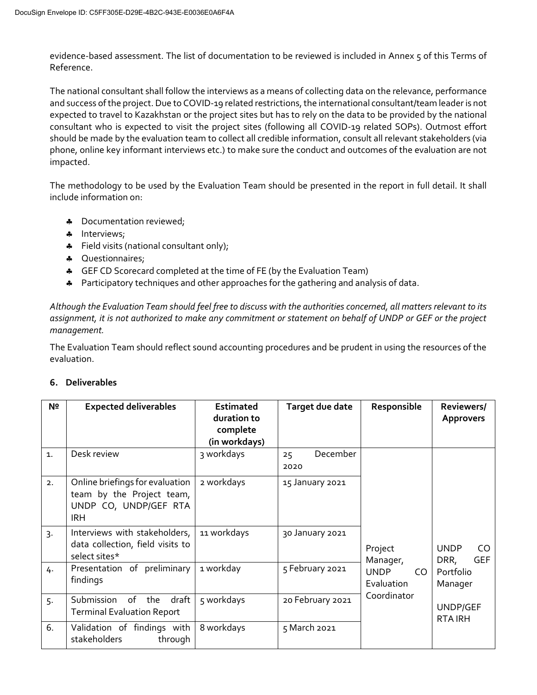evidence-based assessment. The list of documentation to be reviewed is included in Annex 5 of this Terms of Reference.

The national consultant shall follow the interviews as a means of collecting data on the relevance, performance and success of the project. Due to COVID-19 related restrictions, the international consultant/team leaderis not expected to travel to Kazakhstan or the project sites but has to rely on the data to be provided by the national consultant who is expected to visit the project sites (following all COVID-19 related SOPs). Outmost effort should be made by the evaluation team to collect all credible information, consult all relevant stakeholders (via phone, online key informant interviews etc.) to make sure the conduct and outcomes of the evaluation are not impacted.

The methodology to be used by the Evaluation Team should be presented in the report in full detail. It shall include information on:

- \* Documentation reviewed;
- \* Interviews;
- Field visits (national consultant only);
- **4** Questionnaires;
- **4** GEF CD Scorecard completed at the time of FE (by the Evaluation Team)
- \* Participatory techniques and other approaches for the gathering and analysis of data.

*Although the Evaluation Team should feel free to discuss with the authorities concerned, all matters relevant to its assignment, it is not authorized to make any commitment or statement on behalf of UNDP or GEF or the project management.*

The Evaluation Team should reflect sound accounting procedures and be prudent in using the resources of the evaluation.

| N <sub>2</sub>   | <b>Expected deliverables</b>                                                                        | <b>Estimated</b><br>duration to<br>complete<br>(in workdays) | Target due date        | Responsible                      | Reviewers/<br><b>Approvers</b>           |
|------------------|-----------------------------------------------------------------------------------------------------|--------------------------------------------------------------|------------------------|----------------------------------|------------------------------------------|
| $\mathbf{1}$     | Desk review                                                                                         | 3 workdays                                                   | December<br>25<br>2020 |                                  |                                          |
| 2.               | Online briefings for evaluation<br>team by the Project team,<br>UNDP CO, UNDP/GEF RTA<br><b>IRH</b> | 2 workdays                                                   | 15 January 2021        |                                  |                                          |
| $\overline{3}$ . | Interviews with stakeholders,<br>data collection, field visits to<br>select sites*                  | 11 workdays                                                  | 30 January 2021        | Project<br>Manager,              | <b>UNDP</b><br>CO.<br><b>GEF</b><br>DRR, |
| 4.               | Presentation of preliminary<br>findings                                                             | 1 workday                                                    | 5 February 2021        | <b>UNDP</b><br>CO.<br>Evaluation | Portfolio<br>Manager                     |
| 5.               | draft<br>of<br>Submission<br>the<br><b>Terminal Evaluation Report</b>                               | 5 workdays                                                   | 20 February 2021       | Coordinator                      | UNDP/GEF<br><b>RTAIRH</b>                |
| 6.               | Validation of findings with<br>stakeholders<br>through                                              | 8 workdays                                                   | 5 March 2021           |                                  |                                          |

# **6. Deliverables**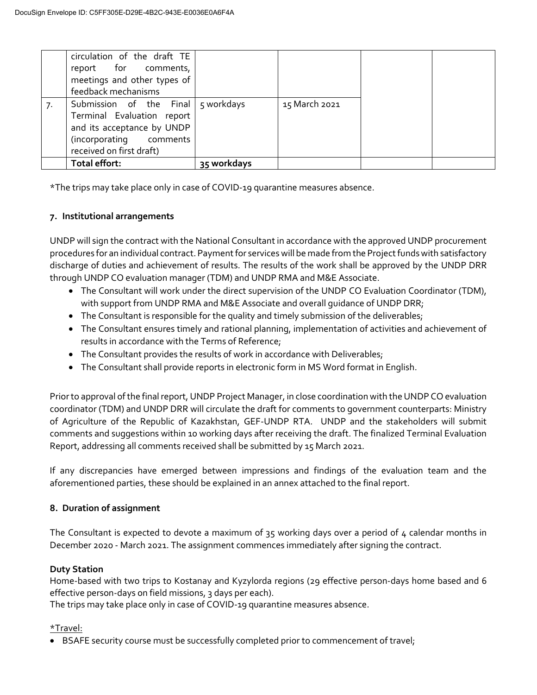|    | circulation of the draft TE<br>report for comments,<br>meetings and other types of<br>feedback mechanisms                                               |             |               |  |
|----|---------------------------------------------------------------------------------------------------------------------------------------------------------|-------------|---------------|--|
| 7. | Submission of the Final   5 workdays<br>Terminal Evaluation report<br>and its acceptance by UNDP<br>(incorporating comments<br>received on first draft) |             | 15 March 2021 |  |
|    | Total effort:                                                                                                                                           | 35 workdays |               |  |

\*The trips may take place only in case of COVID-19 quarantine measures absence.

# **7. Institutional arrangements**

UNDP will sign the contract with the National Consultant in accordance with the approved UNDP procurement procedures for an individual contract. Payment for services will be made from the Project funds with satisfactory discharge of duties and achievement of results. The results of the work shall be approved by the UNDP DRR through UNDP CO evaluation manager (TDM) and UNDP RMA and M&E Associate.

- The Consultant will work under the direct supervision of the UNDP CO Evaluation Coordinator (TDM), with support from UNDP RMA and M&E Associate and overall guidance of UNDP DRR;
- The Consultant is responsible for the quality and timely submission of the deliverables;
- The Consultant ensures timely and rational planning, implementation of activities and achievement of results in accordance with the Terms of Reference;
- The Consultant provides the results of work in accordance with Deliverables;
- The Consultant shall provide reports in electronic form in MS Word format in English.

Prior to approval of the final report, UNDP Project Manager, in close coordination with the UNDP CO evaluation coordinator (TDM) and UNDP DRR will circulate the draft for comments to government counterparts: Ministry of Agriculture of the Republic of Kazakhstan, GEF-UNDP RTA. UNDP and the stakeholders will submit comments and suggestions within 10 working days after receiving the draft. The finalized Terminal Evaluation Report, addressing all comments received shall be submitted by 15 March 2021.

If any discrepancies have emerged between impressions and findings of the evaluation team and the aforementioned parties, these should be explained in an annex attached to the final report.

# **8. Duration of assignment**

The Consultant is expected to devote a maximum of 35 working days over a period of 4 calendar months in December 2020 - March 2021. The assignment commences immediately after signing the contract.

# **Duty Station**

Home-based with two trips to Kostanay and Kyzylorda regions (29 effective person-days home based and 6 effective person-days on field missions, 3 days per each).

The trips may take place only in case of COVID-19 quarantine measures absence.

# \*Travel:

BSAFE security course must be successfully completed prior to commencement of travel;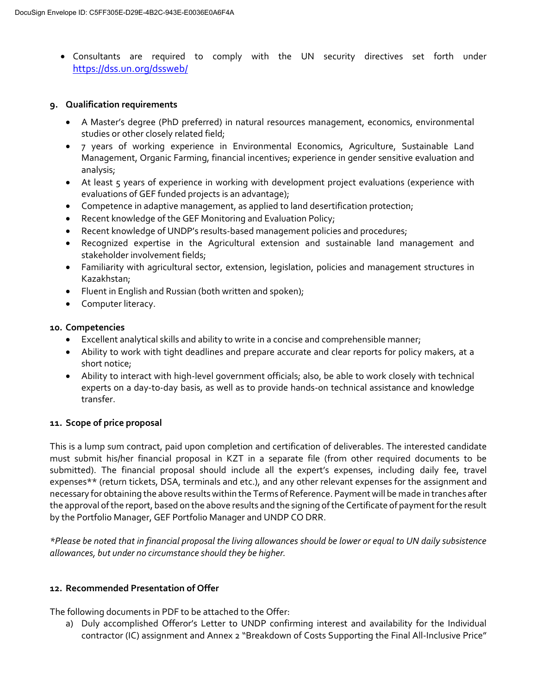Consultants are required to comply with the UN security directives set forth under [https://dss.un.org/dsswe](https://dss.un.org/dssweb/)b/

#### **9. Qualification requirements**

- A Master's degree (PhD preferred) in natural resources management, economics, environmental studies or other closely related field;
- 7 years of working experience in Environmental Economics, Agriculture, Sustainable Land Management, Organic Farming, financial incentives; experience in gender sensitive evaluation and analysis;
- At least 5 years of experience in working with development project evaluations (experience with evaluations of GEF funded projects is an advantage);
- Competence in adaptive management, as applied to land desertification protection;
- Recent knowledge of the GEF Monitoring and Evaluation Policy;
- Recent knowledge of UNDP's results-based management policies and procedures;
- Recognized expertise in the Agricultural extension and sustainable land management and stakeholder involvement fields;
- Familiarity with agricultural sector, extension, legislation, policies and management structures in Kazakhstan;
- Fluent in English and Russian (both written and spoken);
- Computer literacy.

#### **10. Competencies**

- Excellent analytical skills and ability to write in a concise and comprehensible manner;
- Ability to work with tight deadlines and prepare accurate and clear reports for policy makers, at a short notice;
- Ability to interact with high-level government officials; also, be able to work closely with technical experts on a day-to-day basis, as well as to provide hands-on technical assistance and knowledge transfer.

# **11. Scope of price proposal**

This is a lump sum contract, paid upon completion and certification of deliverables. The interested candidate must submit his/her financial proposal in KZT in a separate file (from other required documents to be submitted). The financial proposal should include all the expert's expenses, including daily fee, travel expenses\*\* (return tickets, DSA, terminals and etc.), and any other relevant expenses for the assignment and necessary for obtaining the above results within the Terms of Reference. Payment will be made in tranches after the approval of the report, based on the above results and the signing of the Certificate of payment for the result by the Portfolio Manager, GEF Portfolio Manager and UNDP CO DRR.

*\*Please be noted that in financial proposal the living allowances should be lower or equal to UN daily subsistence allowances, but under no circumstance should they be higher.*

#### **12. Recommended Presentation of Offer**

The following documents in PDF to be attached to the Offer:

a) Duly accomplished Offeror's Letter to UNDP confirming interest and availability for the Individual contractor (IC) assignment and Annex 2 "Breakdown of Costs Supporting the Final All-Inclusive Price"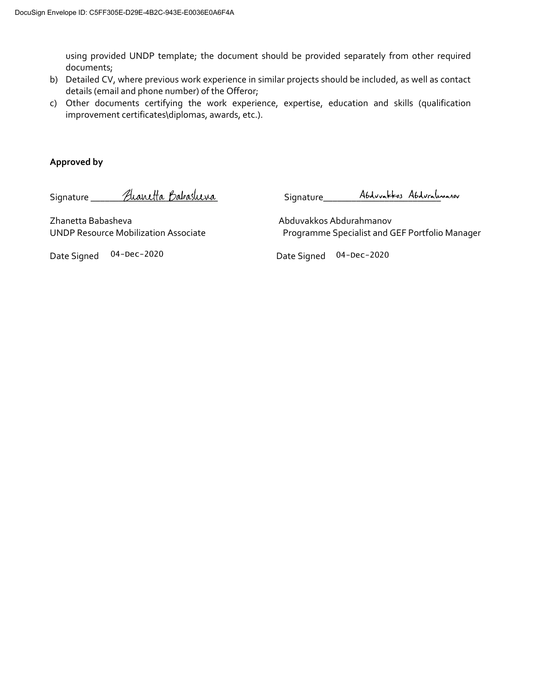using provided UNDP template; the document should be provided separately from other required documents;

- b) Detailed CV, where previous work experience in similar projects should be included, as well as contact details (email and phone number) of the Offeror;
- c) Other documents certifying the work experience, expertise, education and skills (qualification improvement certificates\diplomas, awards, etc.).

#### **Approved by**

Signature Alanetta Babasluva Signature Abduvattos Abduralmanov

Zhanetta Babasheva Abduvakkos Abdurahmanov

UNDP Resource Mobilization Associate Programme Specialist and GEF Portfolio Manager

Date Signed 04-Dec-2020

04-Dec-2020 04-Dec-2020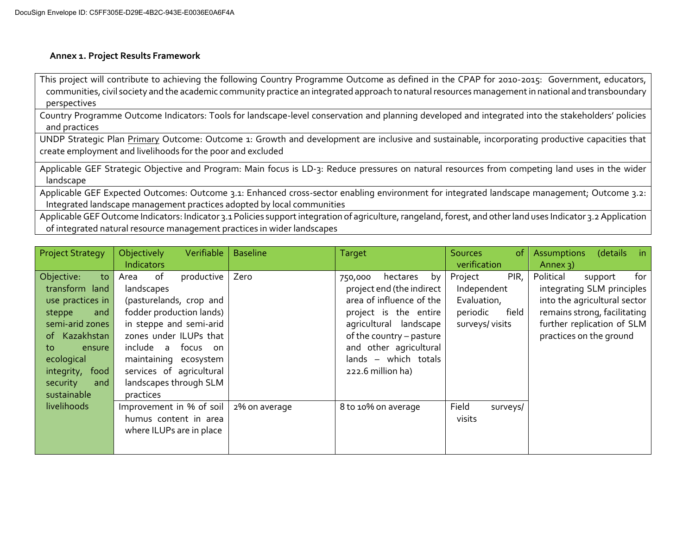#### **Annex 1. Project Results Framework**

This project will contribute to achieving the following Country Programme Outcome as defined in the CPAP for 2010-2015: Government, educators, communities, civil society and the academic community practice an integrated approach to natural resources management in national and transboundary perspectives

Country Programme Outcome Indicators: Tools for landscape-level conservation and planning developed and integrated into the stakeholders' policies and practices

UNDP Strategic Plan Primary Outcome: Outcome 1: Growth and development are inclusive and sustainable, incorporating productive capacities that create employment and livelihoods for the poor and excluded

Applicable GEF Strategic Objective and Program: Main focus is LD-3: Reduce pressures on natural resources from competing land uses in the wider landscape

Applicable GEF Expected Outcomes: Outcome 3.1: Enhanced cross-sector enabling environment for integrated landscape management; Outcome 3.2: Integrated landscape management practices adopted by local communities

Applicable GEF Outcome Indicators: Indicator 3.1 Policies support integration of agriculture, rangeland, forest, and other land uses Indicator 3.2 Application of integrated natural resource management practices in wider landscapes

| <b>Project Strategy</b> | Verifiable<br>Objectively | <b>Baseline</b> | <b>Target</b>              | Sources <sub>1</sub><br><sub>of</sub> | (details<br>Assumptions<br>in |
|-------------------------|---------------------------|-----------------|----------------------------|---------------------------------------|-------------------------------|
|                         | Indicators                |                 |                            | verification                          | Annex $3)$                    |
| Objective:<br>to        | of<br>productive<br>Area  | Zero            | hectares<br>by<br>750,000  | Project<br>PIR,                       | Political<br>for<br>support   |
| transform land          | landscapes                |                 | project end (the indirect  | Independent                           | integrating SLM principles    |
| use practices in        | (pasturelands, crop and   |                 | area of influence of the   | Evaluation,                           | into the agricultural sector  |
| steppe<br>and           | fodder production lands)  |                 | project is the entire      | field<br>periodic                     | remains strong, facilitating  |
| semi-arid zones         | in steppe and semi-arid   |                 | further replication of SLM |                                       |                               |
| of Kazakhstan           | zones under ILUPs that    |                 | of the country - pasture   |                                       | practices on the ground       |
| to<br>ensure            | include a<br>focus on     |                 | and other agricultural     |                                       |                               |
| ecological              | maintaining ecosystem     |                 | which totals<br>$lands -$  |                                       |                               |
| integrity,<br>food      | services of agricultural  |                 | 222.6 million ha)          |                                       |                               |
| security<br>and         | landscapes through SLM    |                 |                            |                                       |                               |
| sustainable             | practices                 |                 |                            |                                       |                               |
| livelihoods             | Improvement in % of soil  | 2% on average   | 8 to 10% on average        | Field<br>surveys/                     |                               |
|                         | humus content in area     |                 |                            | visits                                |                               |
|                         | where ILUPs are in place  |                 |                            |                                       |                               |
|                         |                           |                 |                            |                                       |                               |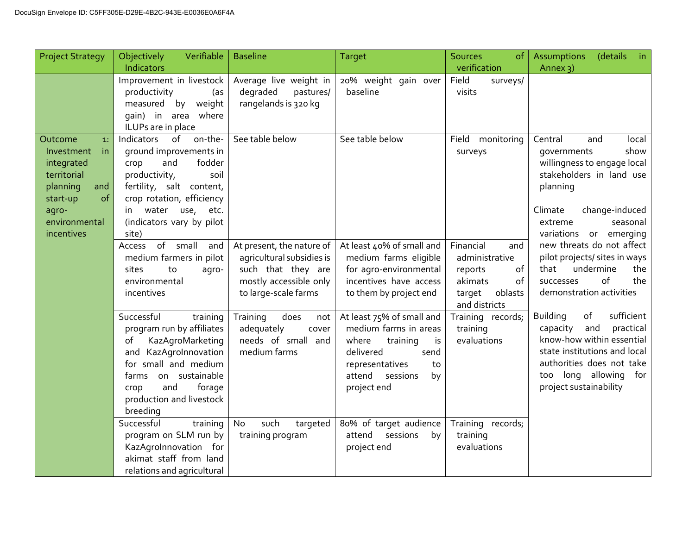| <b>Project Strategy</b>                                                                                                                      | Objectively<br>Verifiable<br>Indicators                                                                                                                                                                                                | <b>Baseline</b>                                                                                                                | <b>Target</b>                                                                                                                                                          | <b>Sources</b><br><b>of</b><br>verification                                                                | <b>Assumptions</b><br>(details<br>$\mathsf{in}$<br>Annex 3)                                                                                                                                                      |
|----------------------------------------------------------------------------------------------------------------------------------------------|----------------------------------------------------------------------------------------------------------------------------------------------------------------------------------------------------------------------------------------|--------------------------------------------------------------------------------------------------------------------------------|------------------------------------------------------------------------------------------------------------------------------------------------------------------------|------------------------------------------------------------------------------------------------------------|------------------------------------------------------------------------------------------------------------------------------------------------------------------------------------------------------------------|
|                                                                                                                                              | Improvement in livestock<br>productivity<br>(as<br>measured<br>by weight<br>gain) in area where<br>ILUPs are in place                                                                                                                  | Average live weight in<br>degraded<br>pastures/<br>rangelands is 320 kg                                                        | 20% weight gain over<br>baseline                                                                                                                                       | Field<br>surveys/<br>visits                                                                                |                                                                                                                                                                                                                  |
| Outcome<br>1.<br>Investment<br>in.<br>integrated<br>territorial<br>planning<br>and<br>of<br>start-up<br>agro-<br>environmental<br>incentives | on-the-<br>of<br>Indicators<br>ground improvements in<br>fodder<br>and<br>crop<br>productivity,<br>soil<br>fertility, salt content,<br>crop rotation, efficiency<br>water<br>use,<br>etc.<br>in.<br>(indicators vary by pilot<br>site) | See table below                                                                                                                | See table below                                                                                                                                                        | Field<br>monitoring<br>surveys                                                                             | Central<br>and<br>local<br>show<br>governments<br>willingness to engage local<br>stakeholders in land use<br>planning<br>Climate<br>change-induced<br>seasonal<br>extreme<br>variations or emerging              |
|                                                                                                                                              | of small<br>and<br>Access<br>medium farmers in pilot<br>sites<br>to<br>agro-<br>environmental<br>incentives                                                                                                                            | At present, the nature of<br>agricultural subsidies is<br>such that they are<br>mostly accessible only<br>to large-scale farms | At least 40% of small and<br>medium farms eligible<br>for agro-environmental<br>incentives have access<br>to them by project end                                       | Financial<br>and<br>administrative<br>of<br>reports<br>akimats<br>of<br>target<br>oblasts<br>and districts | new threats do not affect<br>pilot projects/ sites in ways<br>undermine<br>that<br>the<br>of<br>the<br>successes<br>demonstration activities                                                                     |
|                                                                                                                                              | Successful<br>training<br>program run by affiliates<br>of<br>KazAgroMarketing<br>KazAgroInnovation<br>and<br>for small and medium<br>on sustainable<br>farms<br>and<br>forage<br>crop<br>production and livestock<br>breeding          | Training<br>does<br>not<br>adequately<br>cover<br>needs of small<br>and<br>medium farms                                        | At least 75% of small and<br>medium farms in areas<br>where<br>is<br>training<br>delivered<br>send<br>representatives<br>to<br>attend<br>sessions<br>by<br>project end | Training records;<br>training<br>evaluations                                                               | sufficient<br><b>Building</b><br>of<br>and<br>practical<br>capacity<br>know-how within essential<br>state institutions and local<br>authorities does not take<br>too long allowing for<br>project sustainability |
|                                                                                                                                              | Successful<br>training<br>program on SLM run by<br>KazAgroInnovation for<br>akimat staff from land<br>relations and agricultural                                                                                                       | No<br>such<br>targeted<br>training program                                                                                     | 80% of target audience<br>attend<br>sessions<br>by<br>project end                                                                                                      | Training records;<br>training<br>evaluations                                                               |                                                                                                                                                                                                                  |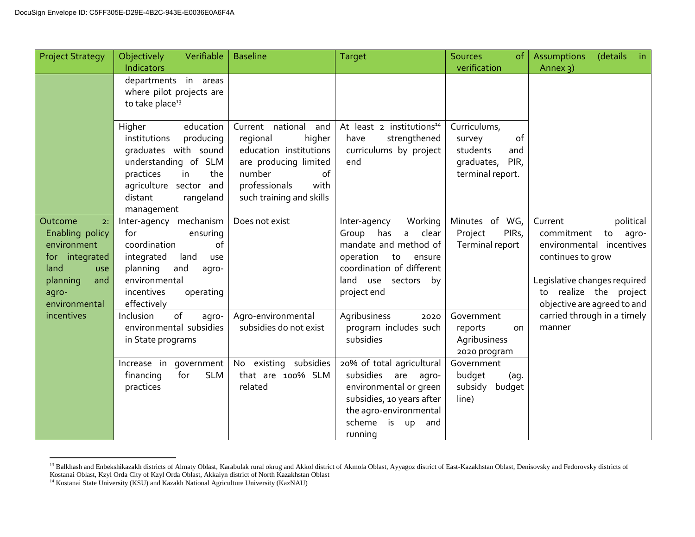| <b>Project Strategy</b>                                                                                                              | Verifiable<br>Objectively<br>Indicators                                                                                                                                                    | <b>Baseline</b>                                                                                                                                                    | <b>Target</b>                                                                                                                                                                          | <b>Sources</b><br><sub>of</sub><br>verification                                           | <b>Assumptions</b><br>(details<br>$-$ in<br>Annex 3)                                                                                                                                        |
|--------------------------------------------------------------------------------------------------------------------------------------|--------------------------------------------------------------------------------------------------------------------------------------------------------------------------------------------|--------------------------------------------------------------------------------------------------------------------------------------------------------------------|----------------------------------------------------------------------------------------------------------------------------------------------------------------------------------------|-------------------------------------------------------------------------------------------|---------------------------------------------------------------------------------------------------------------------------------------------------------------------------------------------|
|                                                                                                                                      | departments in areas<br>where pilot projects are<br>to take place <sup>13</sup>                                                                                                            |                                                                                                                                                                    |                                                                                                                                                                                        |                                                                                           |                                                                                                                                                                                             |
|                                                                                                                                      | Higher<br>education<br>institutions<br>producing<br>graduates with sound<br>understanding of SLM<br>practices<br>in<br>the<br>agriculture sector and<br>distant<br>rangeland<br>management | Current national and<br>regional<br>higher<br>education institutions<br>are producing limited<br>of<br>number<br>professionals<br>with<br>such training and skills | At least 2 institutions <sup>14</sup><br>strengthened<br>have<br>curriculums by project<br>end                                                                                         | Curriculums,<br>of<br>survey<br>students<br>and<br>PIR,<br>graduates,<br>terminal report. |                                                                                                                                                                                             |
| Outcome<br>2:<br>Enabling policy<br>environment<br>for integrated<br>land<br><b>USe</b><br>planning<br>and<br>agro-<br>environmental | Inter-agency mechanism<br>for<br>ensuring<br>coordination<br>of<br>integrated<br>land<br><b>USe</b><br>planning<br>and<br>agro-<br>environmental<br>incentives<br>operating<br>effectively | Does not exist                                                                                                                                                     | Working<br>Inter-agency<br>Group has<br>clear<br>a<br>mandate and method of<br>operation<br>to<br>ensure<br>coordination of different<br>land<br>use sectors by<br>project end         | Minutes of WG,<br>PIR <sub>s</sub> ,<br>Project<br>Terminal report                        | political<br>Current<br>commitment<br>to<br>agro-<br>environmental incentives<br>continues to grow<br>Legislative changes required<br>to realize the project<br>objective are agreed to and |
| incentives                                                                                                                           | of<br>Inclusion<br>agro-<br>environmental subsidies<br>in State programs                                                                                                                   | Agro-environmental<br>subsidies do not exist                                                                                                                       | Agribusiness<br>2020<br>program includes such<br>subsidies                                                                                                                             | Government<br>reports<br><b>on</b><br>Agribusiness<br>2020 program                        | carried through in a timely<br>manner                                                                                                                                                       |
|                                                                                                                                      | Increase in<br>qovernment<br>for<br><b>SLM</b><br>financing<br>practices                                                                                                                   | existing subsidies<br>No<br>that are 100% SLM<br>related                                                                                                           | 20% of total agricultural<br>subsidies<br>are<br>agro-<br>environmental or green<br>subsidies, 10 years after<br>the agro-environmental<br>scheme<br>is<br><b>up</b><br>and<br>running | Government<br>budget<br>(aq)<br>subsidy<br>budget<br>line)                                |                                                                                                                                                                                             |

 $\overline{a}$ <sup>13</sup> Balkhash and Enbekshikazakh districts of Almaty Oblast, Karabulak rural okrug and Akkol district of Akmola Oblast, Ayyagoz district of East-Kazakhstan Oblast, Denisovsky and Fedorovsky districts of Kostanai Oblast, Kzyl Orda City of Kzyl Orda Oblast, Akkaiyn district of North Kazakhstan Oblast

<sup>&</sup>lt;sup>14</sup> Kostanai State University (KSU) and Kazakh National Agriculture University (KazNAU)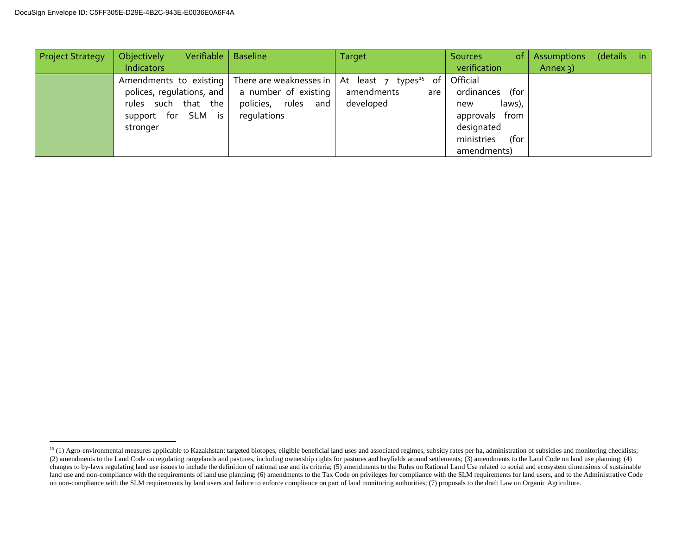$\overline{a}$ 

| <b>Project Strategy</b> | Verifiable<br>Objectively | <b>Baseline</b>                                  | Target                                                                                   | <sub>of</sub><br><b>Sources</b> | Assumptions | (details | in |
|-------------------------|---------------------------|--------------------------------------------------|------------------------------------------------------------------------------------------|---------------------------------|-------------|----------|----|
|                         | Indicators                |                                                  |                                                                                          | verification                    | Annex $3)$  |          |    |
|                         |                           |                                                  | Amendments to existing There are weaknesses in $\vert$ At least 7 types <sup>15</sup> of | Official                        |             |          |    |
|                         |                           | polices, regulations, and   a number of existing | amendments<br>are                                                                        | ordinances (for                 |             |          |    |
|                         | rules such that the       | policies, rules and                              | developed                                                                                | laws),<br>new                   |             |          |    |
|                         | support for SLM is        | requlations                                      |                                                                                          | approvals from                  |             |          |    |
|                         | stronger                  |                                                  |                                                                                          | designated                      |             |          |    |
|                         |                           |                                                  |                                                                                          | ministries<br>for)              |             |          |    |
|                         |                           |                                                  |                                                                                          | amendments)                     |             |          |    |

<sup>&</sup>lt;sup>15</sup> (1) Agro-environmental measures applicable to Kazakhstan: targeted biotopes, eligible beneficial land uses and associated regimes, subsidy rates per ha, administration of subsidies and monitoring checklists; (2) amendments to the Land Code on regulating rangelands and pastures, including ownership rights for pastures and hayfields around settlements; (3) amendments to the Land Code on land use planning; (4) changes to by-laws regulating land use issues to include the definition of rational use and its criteria; (5) amendments to the Rules on Rational Land Use related to social and ecosystem dimensions of sustainable land use and non-compliance with the requirements of land use planning; (6) amendments to the Tax Code on privileges for compliance with the SLM requirements for land users, and to the Administrative Code on non-compliance with the SLM requirements by land users and failure to enforce compliance on part of land monitoring authorities; (7) proposals to the draft Law on Organic Agriculture.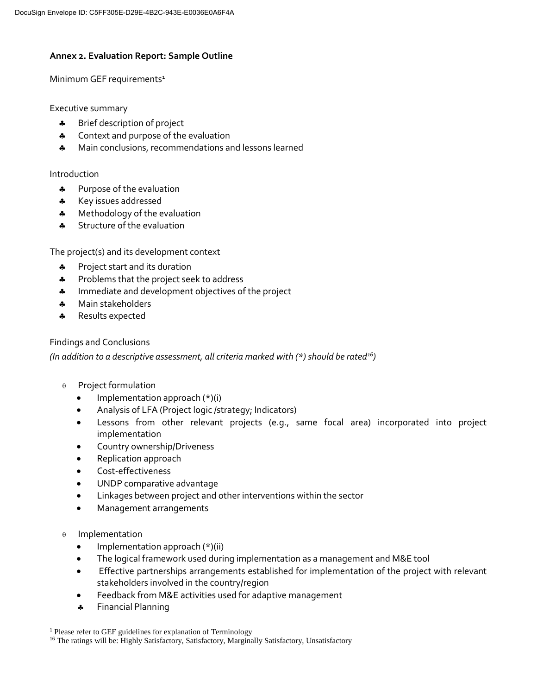### **Annex 2. Evaluation Report: Sample Outline**

Minimum GEF requirements<sup>1</sup>

Executive summary

- **\*** Brief description of project
- **4** Context and purpose of the evaluation
- \* Main conclusions, recommendations and lessons learned

#### Introduction

- \* Purpose of the evaluation
- \* Key issues addressed
- **\*** Methodology of the evaluation
- **\*** Structure of the evaluation

The project(s) and its development context

- \* Project start and its duration
- \* Problems that the project seek to address
- **\*** Immediate and development objectives of the project
- \* Main stakeholders
- \* Results expected

#### Findings and Conclusions

*(In addition to a descriptive assessment, all criteria marked with (\*) should be rated<sup>16</sup>)*

- $\theta$  Project formulation
	- Implementation approach (\*)(i)
	- Analysis of LFA (Project logic /strategy; Indicators)
	- Lessons from other relevant projects (e.g., same focal area) incorporated into project implementation
	- Country ownership/Driveness
	- Replication approach
	- Cost-effectiveness
	- UNDP comparative advantage
	- Linkages between project and other interventions within the sector
	- Management arrangements
- $\theta$  Implementation

 $\overline{a}$ 

- Implementation approach (\*)(ii)
- The logical framework used during implementation as a management and M&E tool
- Effective partnerships arrangements established for implementation of the project with relevant stakeholders involved in the country/region
- Feedback from M&E activities used for adaptive management
- **\*** Financial Planning

<sup>&</sup>lt;sup>1</sup> Please refer to GEF guidelines for explanation of Terminology

<sup>&</sup>lt;sup>16</sup> The ratings will be: Highly Satisfactory, Satisfactory, Marginally Satisfactory, Unsatisfactory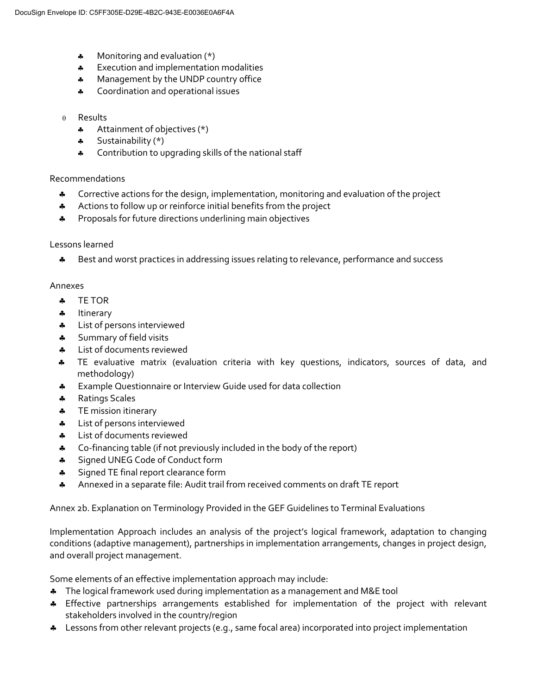- $\clubsuit$  Monitoring and evaluation  $(*)$
- **\*** Execution and implementation modalities
- **A** Management by the UNDP country office
- **4** Coordination and operational issues

#### $\theta$  Results

- Attainment of objectives (\*)
- $\clubsuit$  Sustainability (\*)
- **4** Contribution to upgrading skills of the national staff

#### Recommendations

- Corrective actions for the design, implementation, monitoring and evaluation of the project
- Actions to follow up or reinforce initial benefits from the project
- \* Proposals for future directions underlining main objectives

#### Lessons learned

\* Best and worst practices in addressing issues relating to relevance, performance and success

#### Annexes

- TE TOR
- \* Itinerary
- **4** List of persons interviewed
- **\*** Summary of field visits
- **\*** List of documents reviewed
- TE evaluative matrix (evaluation criteria with key questions, indicators, sources of data, and methodology)
- **\*** Example Questionnaire or Interview Guide used for data collection
- \* Ratings Scales
- **\*** TE mission itinerary
- **A** List of persons interviewed
- **\*** List of documents reviewed
- \* Co-financing table (if not previously included in the body of the report)
- **\*** Signed UNEG Code of Conduct form
- **Signed TE final report clearance form**
- Annexed in a separate file: Audit trail from received comments on draft TE report

Annex 2b. Explanation on Terminology Provided in the GEF Guidelines to Terminal Evaluations

Implementation Approach includes an analysis of the project's logical framework, adaptation to changing conditions (adaptive management), partnerships in implementation arrangements, changes in project design, and overall project management.

Some elements of an effective implementation approach may include:

- The logical framework used during implementation as a management and M&E tool
- \* Effective partnerships arrangements established for implementation of the project with relevant stakeholders involved in the country/region
- \* Lessons from other relevant projects (e.g., same focal area) incorporated into project implementation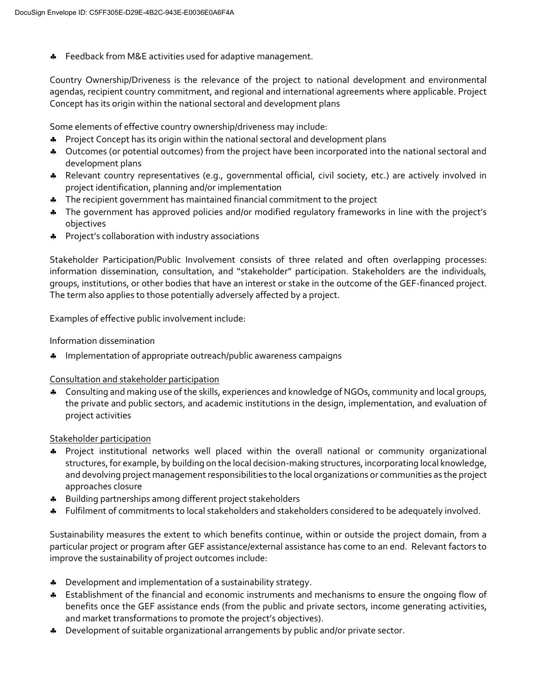**\*** Feedback from M&E activities used for adaptive management.

Country Ownership/Driveness is the relevance of the project to national development and environmental agendas, recipient country commitment, and regional and international agreements where applicable. Project Concept has its origin within the national sectoral and development plans

Some elements of effective country ownership/driveness may include:

- \* Project Concept has its origin within the national sectoral and development plans
- \* Outcomes (or potential outcomes) from the project have been incorporated into the national sectoral and development plans
- Relevant country representatives (e.g., governmental official, civil society, etc.) are actively involved in project identification, planning and/or implementation
- The recipient government has maintained financial commitment to the project
- \* The government has approved policies and/or modified regulatory frameworks in line with the project's objectives
- \* Project's collaboration with industry associations

Stakeholder Participation/Public Involvement consists of three related and often overlapping processes: information dissemination, consultation, and "stakeholder" participation. Stakeholders are the individuals, groups, institutions, or other bodies that have an interest or stake in the outcome of the GEF-financed project. The term also applies to those potentially adversely affected by a project.

Examples of effective public involvement include:

#### Information dissemination

**\*** Implementation of appropriate outreach/public awareness campaigns

Consultation and stakeholder participation

\* Consulting and making use of the skills, experiences and knowledge of NGOs, community and local groups, the private and public sectors, and academic institutions in the design, implementation, and evaluation of project activities

Stakeholder participation

- Project institutional networks well placed within the overall national or community organizational structures, for example, by building on the local decision-making structures, incorporating local knowledge, and devolving project management responsibilities to the local organizations or communities as the project approaches closure
- Building partnerships among different project stakeholders
- \* Fulfilment of commitments to local stakeholders and stakeholders considered to be adequately involved.

Sustainability measures the extent to which benefits continue, within or outside the project domain, from a particular project or program after GEF assistance/external assistance has come to an end. Relevant factors to improve the sustainability of project outcomes include:

- **\*** Development and implementation of a sustainability strategy.
- Establishment of the financial and economic instruments and mechanisms to ensure the ongoing flow of benefits once the GEF assistance ends (from the public and private sectors, income generating activities, and market transformations to promote the project's objectives).
- Development of suitable organizational arrangements by public and/or private sector.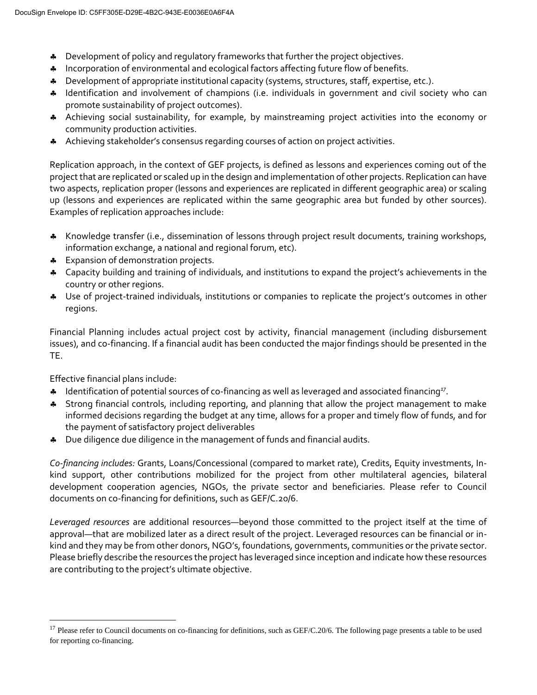- Development of policy and regulatory frameworks that further the project objectives.
- **A** Incorporation of environmental and ecological factors affecting future flow of benefits.
- Development of appropriate institutional capacity (systems, structures, staff, expertise, etc.).
- \* Identification and involvement of champions (i.e. individuals in government and civil society who can promote sustainability of project outcomes).
- Achieving social sustainability, for example, by mainstreaming project activities into the economy or community production activities.
- Achieving stakeholder's consensus regarding courses of action on project activities.

Replication approach, in the context of GEF projects, is defined as lessons and experiences coming out of the project that are replicated or scaled up in the design and implementation of other projects. Replication can have two aspects, replication proper (lessons and experiences are replicated in different geographic area) or scaling up (lessons and experiences are replicated within the same geographic area but funded by other sources). Examples of replication approaches include:

- Knowledge transfer (i.e., dissemination of lessons through project result documents, training workshops, information exchange, a national and regional forum, etc).
- \* Expansion of demonstration projects.
- Capacity building and training of individuals, and institutions to expand the project's achievements in the country or other regions.
- \* Use of project-trained individuals, institutions or companies to replicate the project's outcomes in other regions.

Financial Planning includes actual project cost by activity, financial management (including disbursement issues), and co-financing. If a financial audit has been conducted the major findings should be presented in the TE.

Effective financial plans include:

 $\overline{a}$ 

- \* Identification of potential sources of co-financing as well as leveraged and associated financing<sup>17</sup>.
- Strong financial controls, including reporting, and planning that allow the project management to make informed decisions regarding the budget at any time, allows for a proper and timely flow of funds, and for the payment of satisfactory project deliverables
- Due diligence due diligence in the management of funds and financial audits.

*Co-financing includes:* Grants, Loans/Concessional (compared to market rate), Credits, Equity investments, Inkind support, other contributions mobilized for the project from other multilateral agencies, bilateral development cooperation agencies, NGOs, the private sector and beneficiaries. Please refer to Council documents on co-financing for definitions, such as GEF/C.20/6.

*Leveraged resources* are additional resources—beyond those committed to the project itself at the time of approval—that are mobilized later as a direct result of the project. Leveraged resources can be financial or inkind and they may be from other donors, NGO's, foundations, governments, communities or the private sector. Please briefly describe the resources the project has leveraged since inception and indicate how these resources are contributing to the project's ultimate objective.

<sup>&</sup>lt;sup>17</sup> Please refer to Council documents on co-financing for definitions, such as GEF/C.20/6. The following page presents a table to be used for reporting co-financing.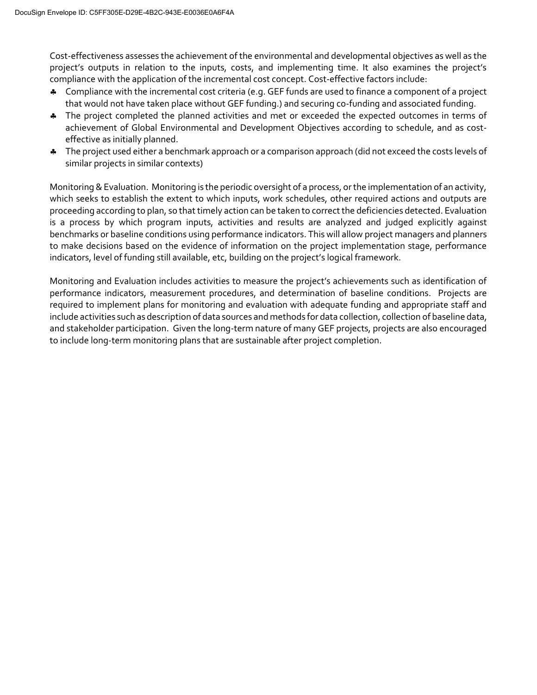Cost-effectiveness assesses the achievement of the environmental and developmental objectives as well as the project's outputs in relation to the inputs, costs, and implementing time. It also examines the project's compliance with the application of the incremental cost concept. Cost-effective factors include:

- Compliance with the incremental cost criteria (e.g. GEF funds are used to finance a component of a project that would not have taken place without GEF funding.) and securing co-funding and associated funding.
- \* The project completed the planned activities and met or exceeded the expected outcomes in terms of achievement of Global Environmental and Development Objectives according to schedule, and as costeffective as initially planned.
- \* The project used either a benchmark approach or a comparison approach (did not exceed the costs levels of similar projects in similar contexts)

Monitoring & Evaluation. Monitoring is the periodic oversight of a process, or the implementation of an activity, which seeks to establish the extent to which inputs, work schedules, other required actions and outputs are proceeding according to plan, so that timely action can be taken to correct the deficiencies detected. Evaluation is a process by which program inputs, activities and results are analyzed and judged explicitly against benchmarks or baseline conditions using performance indicators. This will allow project managers and planners to make decisions based on the evidence of information on the project implementation stage, performance indicators, level of funding still available, etc, building on the project's logical framework.

Monitoring and Evaluation includes activities to measure the project's achievements such as identification of performance indicators, measurement procedures, and determination of baseline conditions. Projects are required to implement plans for monitoring and evaluation with adequate funding and appropriate staff and include activities such as description of data sources and methods for data collection, collection of baseline data, and stakeholder participation. Given the long-term nature of many GEF projects, projects are also encouraged to include long-term monitoring plans that are sustainable after project completion.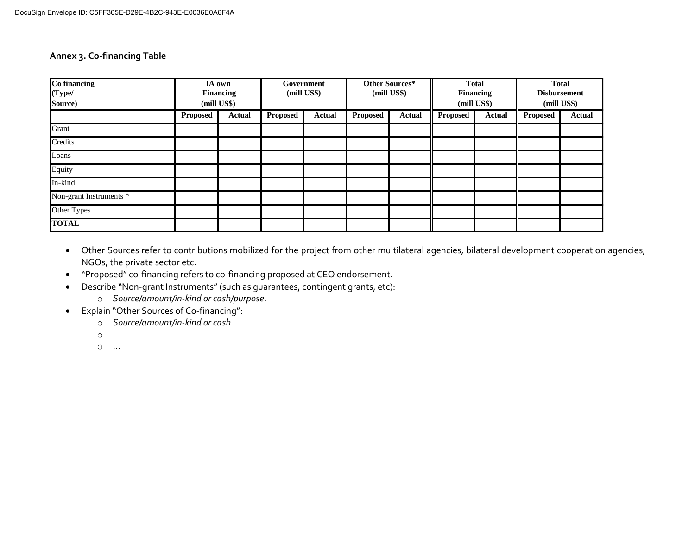#### **Annex 3. Co-financing Table**

| Co financing<br>(Type/<br>Source) |                 | IA own<br><b>Financing</b><br>(mill US\$) |          | Government<br>(mill US\$) |          | Other Sources*<br>(mill US\$) | <b>Total</b><br><b>Financing</b><br>(mill US\$) |               | <b>Total</b><br><b>Disbursement</b><br>(mill US\$) |               |
|-----------------------------------|-----------------|-------------------------------------------|----------|---------------------------|----------|-------------------------------|-------------------------------------------------|---------------|----------------------------------------------------|---------------|
|                                   | <b>Proposed</b> | Actual                                    | Proposed | Actual                    | Proposed | Actual                        | Proposed                                        | <b>Actual</b> | <b>Proposed</b>                                    | <b>Actual</b> |
| Grant                             |                 |                                           |          |                           |          |                               |                                                 |               |                                                    |               |
| Credits                           |                 |                                           |          |                           |          |                               |                                                 |               |                                                    |               |
| Loans                             |                 |                                           |          |                           |          |                               |                                                 |               |                                                    |               |
| Equity                            |                 |                                           |          |                           |          |                               |                                                 |               |                                                    |               |
| In-kind                           |                 |                                           |          |                           |          |                               |                                                 |               |                                                    |               |
| Non-grant Instruments *           |                 |                                           |          |                           |          |                               |                                                 |               |                                                    |               |
| Other Types                       |                 |                                           |          |                           |          |                               |                                                 |               |                                                    |               |
| <b>TOTAL</b>                      |                 |                                           |          |                           |          |                               |                                                 |               |                                                    |               |

- Other Sources refer to contributions mobilized for the project from other multilateral agencies, bilateral development cooperation agencies, NGOs, the private sector etc.
- "Proposed" co-financing refers to co-financing proposed at CEO endorsement.
- Describe "Non-grant Instruments" (such as guarantees, contingent grants, etc):
	- o *Source/amount/in-kind or cash/purpose*.
- Explain "Other Sources of Co-financing":
	- o *Source/amount/in-kind or cash*
	- o …
	- o …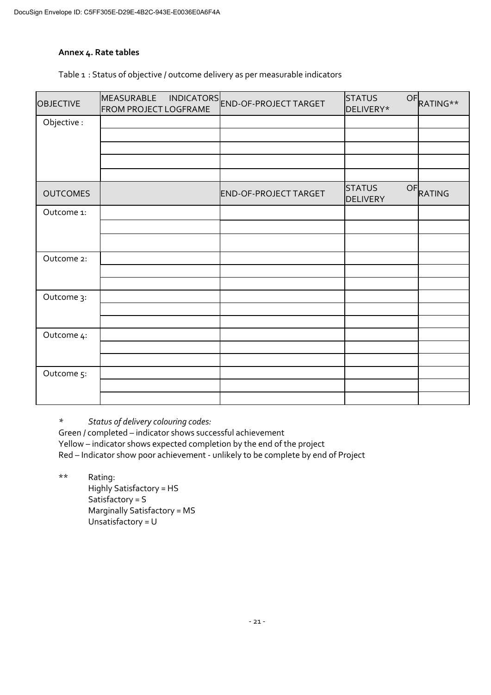### **Annex 4. Rate tables**

Table 1 : Status of objective / outcome delivery as per measurable indicators

| <b>OBJECTIVE</b> | MEASURABLE<br><b>FROM PROJECT LOGFRAME</b> | INDICATORS<br>END-OF-PROJECT TARGET | <b>STATUS</b><br>OF<br>DELIVERY* | RATING** |
|------------------|--------------------------------------------|-------------------------------------|----------------------------------|----------|
| Objective:       |                                            |                                     |                                  |          |
|                  |                                            |                                     |                                  |          |
|                  |                                            |                                     |                                  |          |
|                  |                                            |                                     |                                  |          |
|                  |                                            |                                     |                                  |          |
| <b>OUTCOMES</b>  |                                            | END-OF-PROJECT TARGET               | <b>STATUS</b><br><b>DELIVERY</b> | OFRATING |
| Outcome 1:       |                                            |                                     |                                  |          |
|                  |                                            |                                     |                                  |          |
|                  |                                            |                                     |                                  |          |
| Outcome 2:       |                                            |                                     |                                  |          |
|                  |                                            |                                     |                                  |          |
|                  |                                            |                                     |                                  |          |
| Outcome 3:       |                                            |                                     |                                  |          |
|                  |                                            |                                     |                                  |          |
| Outcome 4:       |                                            |                                     |                                  |          |
|                  |                                            |                                     |                                  |          |
|                  |                                            |                                     |                                  |          |
| Outcome 5:       |                                            |                                     |                                  |          |
|                  |                                            |                                     |                                  |          |
|                  |                                            |                                     |                                  |          |

*\* Status of delivery colouring codes:*

Green / completed – indicator shows successful achievement Yellow – indicator shows expected completion by the end of the project Red – Indicator show poor achievement - unlikely to be complete by end of Project

\*\* Rating:

Highly Satisfactory = HS Satisfactory = S Marginally Satisfactory = MS Unsatisfactory = U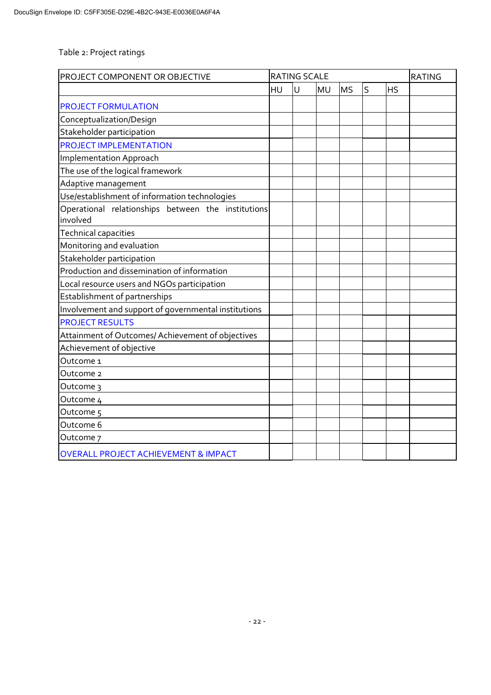Table 2: Project ratings

| PROJECT COMPONENT OR OBJECTIVE                                 | <b>RATING SCALE</b> |   | <b>RATING</b> |           |   |           |  |
|----------------------------------------------------------------|---------------------|---|---------------|-----------|---|-----------|--|
|                                                                | HU                  | U | <b>MU</b>     | <b>MS</b> | S | <b>HS</b> |  |
| <b>PROJECT FORMULATION</b>                                     |                     |   |               |           |   |           |  |
| Conceptualization/Design                                       |                     |   |               |           |   |           |  |
| Stakeholder participation                                      |                     |   |               |           |   |           |  |
| <b>PROJECT IMPLEMENTATION</b>                                  |                     |   |               |           |   |           |  |
| <b>Implementation Approach</b>                                 |                     |   |               |           |   |           |  |
| The use of the logical framework                               |                     |   |               |           |   |           |  |
| Adaptive management                                            |                     |   |               |           |   |           |  |
| Use/establishment of information technologies                  |                     |   |               |           |   |           |  |
| Operational relationships between the institutions<br>involved |                     |   |               |           |   |           |  |
| <b>Technical capacities</b>                                    |                     |   |               |           |   |           |  |
| Monitoring and evaluation                                      |                     |   |               |           |   |           |  |
| Stakeholder participation                                      |                     |   |               |           |   |           |  |
| Production and dissemination of information                    |                     |   |               |           |   |           |  |
| Local resource users and NGOs participation                    |                     |   |               |           |   |           |  |
| Establishment of partnerships                                  |                     |   |               |           |   |           |  |
| Involvement and support of governmental institutions           |                     |   |               |           |   |           |  |
| <b>PROJECT RESULTS</b>                                         |                     |   |               |           |   |           |  |
| Attainment of Outcomes/ Achievement of objectives              |                     |   |               |           |   |           |  |
| Achievement of objective                                       |                     |   |               |           |   |           |  |
| Outcome 1                                                      |                     |   |               |           |   |           |  |
| Outcome 2                                                      |                     |   |               |           |   |           |  |
| Outcome 3                                                      |                     |   |               |           |   |           |  |
| Outcome 4                                                      |                     |   |               |           |   |           |  |
| Outcome 5                                                      |                     |   |               |           |   |           |  |
| Outcome 6                                                      |                     |   |               |           |   |           |  |
| Outcome 7                                                      |                     |   |               |           |   |           |  |
| <b>OVERALL PROJECT ACHIEVEMENT &amp; IMPACT</b>                |                     |   |               |           |   |           |  |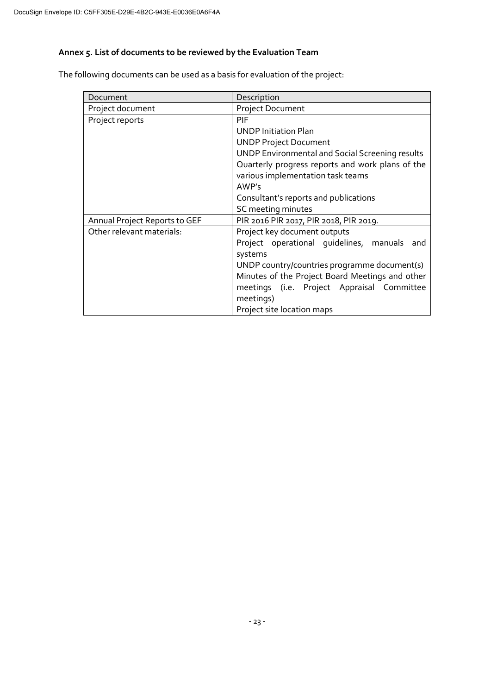# **Annex 5. List of documents to be reviewed by the Evaluation Team**

The following documents can be used as a basis for evaluation of the project:

| Document                      | Description                                      |
|-------------------------------|--------------------------------------------------|
| Project document              | <b>Project Document</b>                          |
| Project reports               | PIF                                              |
|                               | <b>UNDP Initiation Plan</b>                      |
|                               | <b>UNDP Project Document</b>                     |
|                               | UNDP Environmental and Social Screening results  |
|                               | Quarterly progress reports and work plans of the |
|                               | various implementation task teams                |
|                               | AWP's                                            |
|                               | Consultant's reports and publications            |
|                               | SC meeting minutes                               |
| Annual Project Reports to GEF | PIR 2016 PIR 2017, PIR 2018, PIR 2019.           |
| Other relevant materials:     | Project key document outputs                     |
|                               | Project operational quidelines, manuals<br>and   |
|                               | systems                                          |
|                               | UNDP country/countries programme document(s)     |
|                               | Minutes of the Project Board Meetings and other  |
|                               | meetings (i.e. Project Appraisal Committee       |
|                               | meetings)                                        |
|                               | Project site location maps                       |